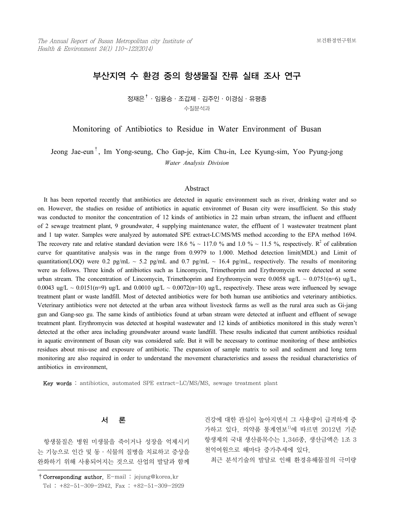# 부산지역 수 환경 중의 항생물질 잔류 실태 조사 연구

정재은 $^{\dagger}$  · 임용승 · 조갑제 · 김주인 · 이경심 · 유평종 수질분석과

Monitoring of Antibiotics to Residue in Water Environment of Busan

Jeong Jae-eun†, Im Yong-seung, Cho Gap-je, Kim Chu-in, Lee Kyung-sim, Yoo Pyung-jong *Water Analysis Division*

## Abstract

 It has been reported recently that antibiotics are detected in aquatic environment such as river, drinking water and so on. However, the studies on residue of antibiotics in aquatic environmet of Busan city were insufficient. So this study was conducted to monitor the concentration of 12 kinds of antibiotics in 22 main urban stream, the influent and effluent of 2 sewage treatment plant, 9 groundwater, 4 supplying maintenance water, the effluent of 1 wastewater treatment plant and 1 tap water. Samples were analyzed by automated SPE extract-LC/MS/MS method according to the EPA method 1694. The recovery rate and relative standard deviation were 18.6 % ~ 117.0 % and 1.0 % ~ 11.5 %, respectively. R<sup>2</sup> of calibration curve for quantitative analysis was in the range from 0.9979 to 1.000. Method detection limit(MDL) and Limit of quantitation(LOQ) were 0.2 pg/mL ~ 5.2 pg/mL and 0.7 pg/mL ~ 16.4 pg/mL, respectively. The results of monitoring were as follows. Three kinds of antibiotics such as Lincomycin, Trimethoprim and Erythromycin were detected at some urban stream. The concentration of Lincomycin, Trimethoprim and Erythromycin were 0.0058 ug/L  $\sim 0.0751(n=6)$  ug/L, 0.0043 ug/L ~ 0.0151(n=9) ug/L and 0.0010 ug/L ~ 0.0072(n=10) ug/L, respectively. These areas were influenced by sewage treatment plant or waste landfill. Most of detected antibiotics were for both human use antibiotics and veterinary antibiotics. Veterinary antibiotics were not detected at the urban area without livestock farms as well as the rural area such as Gi-jang gun and Gang-seo gu. The same kinds of antibiotics found at urban stream were detected at influent and effluent of sewage treatment plant. Erythromycin was detected at hospital wastewater and 12 kinds of antibiotics monitored in this study weren't detected at the other area including groundwater around waste landfill. These results indicated that current antibiotics residual in aquatic environment of Busan city was considered safe. But it will be necessary to continue monitoring of these antibiotics residues about mis-use and exposure of antibiotic. The expansion of sample matrix to soil and sediment and long term monitoring are also required in order to understand the movement characteristics and assess the residual characteristics of antibiotics in environment,

Key words : antibiotics, automated SPE extract-LC/MS/MS, sewage treatment plant

## 서 론

 항생물질은 병원 미생물을 죽이거나 성장을 억제시키 는 기능으로 인간 및 동·식물의 질병을 치료하고 증상을 완화하기 위해 사용되어지는 것으로 산업의 발달과 함께

건강에 대한 관심이 높아지면서 그 사용량이 급격하게 증 가하고 있다. 의약품 통계연보<sup>1)</sup>에 따르면 2012년 기준 항생제의 국내 생산품목수는 1,346종, 생산금액은 1조 3 천억여원으로 해마다 증가추세에 있다.

최근 분석기술의 발달로 인해 환경유해물질의 극미량

<sup>†</sup>Corresponding author. E-mail : jejung@korea.kr Tel : +82-51-309-2942, Fax : +82-51-309-2929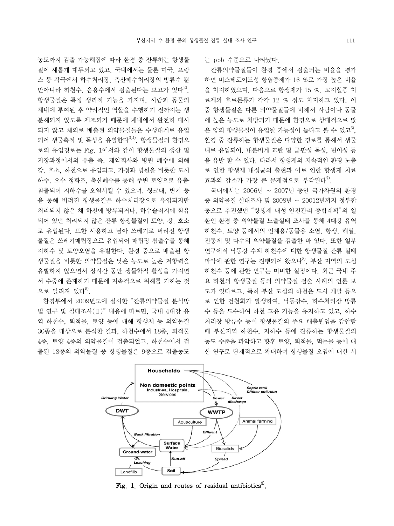농도까지 검출 가능해짐에 따라 환경 중 잔류하는 항생물 질이 새롭게 대두되고 있고, 국내에서는 물론 미국, 프랑 스 등 각국에서 하수처리장, 축산폐수처리장의 방류수 뿐 만아니라 하천수, 음용수에서 검출된다는 보고가 있다<sup>2)</sup>. 항생물질은 특정 생리적 기능을 가지며, 사람과 동물의 체내에 투여된 후 약리적인 역할을 수행하기 전까지는 생 분해되지 않도록 제조되기 때문에 체내에서 완전히 대사 되지 않고 체외로 배출된 의약물질들은 수생태계로 유입 되어 생물축적 및 독성을 유발한다<sup>3,4)</sup>. 항생물질의 환경으 로의 유입경로는 Fig. 1에서와 같이 항생물질의 생산 및 저장과정에서의 유출 즉, 제약회사와 병원 폐수에 의해 강, 호소, 하천으로 유입되고, 가정과 병원을 비롯한 도시 하수, 오수 정화조, 축산폐수를 통해 주변 토양으로 유출․ 침출되어 지하수를 오염시킬 수 있으며, 씽크대, 변기 등 을 통해 버려진 항생물질은 하수처리장으로 유입되지만 처리되지 않은 채 하천에 방류되거나, 하수슬러지에 함유 되어 있던 처리되지 않은 잔류 항생물질이 토양, 강, 호소 로 유입된다. 또한 사용하고 남아 쓰레기로 버려진 항생 물질은 쓰레기매립장으로 유입되어 매립장 침출수를 통해 지하수 및 토양오염을 유발한다. 환경 중으로 배출된 항 생물질을 비롯한 의약물질은 낮은 농도로 높은 저항력을 유발하지 않으면서 장시간 동안 생물학적 활성을 가지면 서 수중에 존재하기 때문에 지속적으로 위해를 가하는 것 으로 알려져 있다 $^{5)}$ .

 환경부에서 2009년도에 실시한 "잔류의약물질 분석방 법 연구 및 실태조사(Ⅱ)" 내용에 따르면, 국내 4대강 유 역 하천수, 퇴적물, 토양 등에 대해 항생제 등 의약물질 30종을 대상으로 분석한 결과, 하천수에서 18종, 퇴적물 4종, 토양 4종의 의약물질이 검출되었고, 하천수에서 검 출된 18종의 의약물질 중 항생물질은 9종으로 검출농도 는 ppb 수준으로 나타났다.

 잔류의약물질들이 환경 중에서 검출되는 비율을 평가 하면 비스테로이드성 항염증제가 16 %로 가장 높은 비율 을 차지하였으며, 다음으로 항생제가 15 %, 고지혈증 치 료제와 호르몬류가 각각 12 % 정도 차지하고 있다. 이 중 항생물질은 다른 의약물질들에 비해서 사람이나 동물 에 높은 농도로 처방되기 때문에 환경으로 상대적으로 많 은 양의 항생물질이 유입될 가능성이 높다고 볼 수 있고<sup>6)</sup>. 환경 중 잔류하는 항생물질은 다양한 경로를 통해서 생물 내로 유입되어, 내분비계 교란 및 급만성 독성, 변이성 등 을 유발 할 수 있다. 따라서 항생제의 지속적인 환경 노출 로 인한 항생제 내성균의 출현과 이로 인한 항생제 치료 효과의 감소가 가장 큰 문제점으로 부각된다<sup>7)</sup>.

 국내에서는 2006년 ~ 2007년 동안 국가차원의 환경 중 의약물질 실태조사 및 2008년 ~ 20012년까지 정부합 동으로 추진했던 "항생제 내성 안전관리 종합계획"의 일 환인 환경 중 의약물질 노출실태 조사를 통해 4대강 유역 하천수, 토양 등에서의 인체용/동물용 소염, 항생, 해열, 진통제 및 다수의 의약물질을 검출한 바 있다. 또한 일부 연구에서 낙동강 수계 하천수에 대한 항생물질 잔류 실태 파악에 관한 연구는 진행되어 왔으나<sup>8)</sup>, 부산 지역의 도심 하천수 등에 관한 연구는 미비한 실정이다. 최근 국내 주 요 하천의 항생물질 등의 의약물질 검출 사례의 언론 보 도가 잇따르고, 특히 부산 도심의 하천은 도시 개발 등으 로 인한 건천화가 발생하여, 낙동강수, 하수처리장 방류 수 등을 도수하여 하천 고유 기능을 유지하고 있고, 하수 처리장 방류수 등이 항생물질의 주요 배출원임을 감안할 때 부산지역 하천수, 지하수 등에 잔류하는 항생물질의 농도 수준을 파악하고 향후 토양, 퇴적물, 먹는물 등에 대 한 연구로 단계적으로 확대하여 항생물질 오염에 대한 시



Fig. 1. Origin and routes of residual antibiotics<sup>3)</sup>.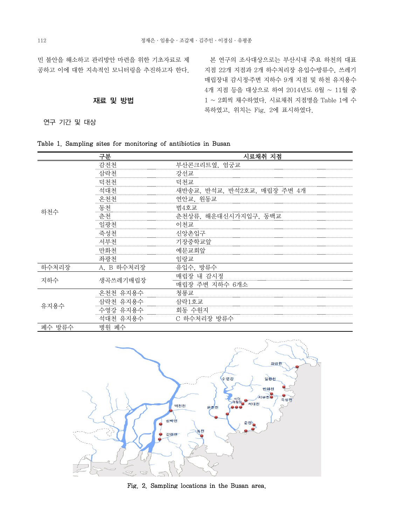민 불안을 해소하고 관리방안 마련을 위한 기초자료로 제 공하고 이에 대한 지속적인 모니터링을 추진하고자 한다.

## 재료 및 방법

연구 기간 및 대상

 본 연구의 조사대상으로는 부산시내 주요 하천의 대표 지점 22개 지점과 2개 하수처리장 유입수․방류수, 쓰레기 매립장내 감시정․주변 지하수 9개 지점 및 하천 유지용수 4개 지점 등을 대상으로 하여 2014년도 6월 ~ 11월 중 1 ~ 2회씩 채수하였다. 시료채취 지점명을 Table 1에 수 록하였고, 위치는 Fig. 2에 표시하였다.

|  |  |  |  |  | Table 1. Sampling sites for monitoring of antibiotics in Busan |  |  |  |  |
|--|--|--|--|--|----------------------------------------------------------------|--|--|--|--|
|--|--|--|--|--|----------------------------------------------------------------|--|--|--|--|

|        | 구분         | 시료채취 지점                     |
|--------|------------|-----------------------------|
|        | 감전천        | 부산콘크리트옆, 엄궁교                |
|        | 삼락천        | 강선교                         |
|        | 덕천천        | 덕천교                         |
|        | 석대천        | 새반송교, 반석교, 반석2호교, 매립장 주변 4개 |
|        | 온천천        | 연안교, 원동교                    |
| 하천수    | 동천         | 범4호교                        |
|        | 춘천         | 춘천상류, 해운대신시가지입구, 동백교        |
|        | 일광천        | 이천교                         |
|        | 죽성천        | 신앙촌입구                       |
|        | 서부천        | 기장중학교앞                      |
|        | 만화천        | 예문교회앞                       |
|        | 좌광천        | 임랑교                         |
| 하수처리장  | A, B 하수처리장 | 유입수, 방류수                    |
| 지하수    | 생곡쓰레기매립장   | 매립장 내 감시정                   |
|        |            | 매립장 주변 지하수 6개소              |
|        | 온천천 유지용수   | 청룡교                         |
| 유지용수   | 삼락천 유지용수   | 삼락1호교                       |
|        | 수영강 유지용수   | 회동 수원지                      |
|        | 석대천 유지용수   | C 하수처리장 방류수                 |
| 폐수 방류수 | 병원 폐수      |                             |



Fig. 2. Sampling locations in the Busan area.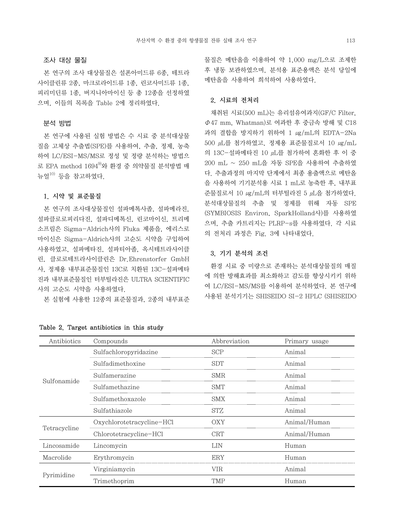### 조사 대상 물질

 본 연구의 조사 대상물질은 설폰아미드류 6종, 테트라 사이클린류 2종, 마크로라이드류 1종, 린코사미드류 1종, 피리미딘류 1종, 버지니아마이신 등 총 12종을 선정하였 으며, 이들의 목록을 Table 2에 정리하였다.

## 분석 방법

 본 연구에 사용된 실험 방법은 수 시료 중 분석대상물 질을 고체상 추출법(SPE)를 사용하여, 추출, 정제, 농축 하여 LC/ESI-MS/MS로 정성 및 정량 분석하는 방법으 로 EPA method  $1694^9$ 와 환경 중 의약물질 분석방법 매 뉴얼10) 등을 참고하였다.

## 1. 시약 및 표준물질

 본 연구의 조사대상물질인 설파메톡사졸, 설파메라진, 설파클로로피리다진, 설파디메톡신, 린코마이신, 트리메 소프림은 Sigma-Aldrich사의 Fluka 제품을, 에리스로 마이신은 Sigma-Aldrich사의 고순도 시약을 구입하여 사용하였고, 설파메타진, 설파티아졸, 옥시테트라사이클 린, 클로로테트라사이클린은 Dr.Ehrenstorfer GmbH 사, 정제용 내부표준물질인 13C로 치환된 13C-설파메타 진과 내부표준물질인 터부틸라진은 ULTRA SCIENTIFIC 사의 고순도 시약을 사용하였다.

본 실험에 사용한 12종의 표준물질과, 2종의 내부표준

물질은 메탄올을 이용하여 약 1,000 mg/L으로 조제한 후 냉동 보관하였으며, 분석용 표준용액은 분석 당일에 메탄올을 사용하여 희석하여 사용하였다.

### 2. 시료의 전처리

 채취된 시료(500 mL)는 유리섬유여과지(GF/C Filter,  $\Phi$ 47 mm, Whatman)로 여과한 후 중금속 방해 및 C18 과의 결합을 방지하기 위하여 1  $\mu$ g/mL의 EDTA-2Na  $500 \mu$ L를 첨가하였고, 정제용 표준물질로서 10  $\mu$ g/mL 의 13C-설파메타진 10 μL를 첨가하여 혼화한 후 이 중 200 mL ~ 250 mL을 자동 SPE을 사용하여 추출하였 다. 추출과정의 마지막 단계에서 최종 용출액으로 메탄올 을 사용하여 기기분석용 시료 1 mL로 농축한 후, 내부표 준물질로서 10 ㎍/mL의 터부틸라진 5 μL을 첨가하였다. 분석대상물질의 추출 및 정제를 위해 자동 SPE (SYMBIOSIS Environ, SparkHolland사)를 사용하였 으며, 추출 카트리지는 PLRP-s를 사용하였다. 각 시료 의 전처리 과정은 Fig. 3에 나타내었다.

## 3. 기기 분석의 조건

 환경 시료 중 미량으로 존재하는 분석대상물질의 매질 에 의한 방해효과를 최소화하고 감도를 향상시키키 위하 여 LC/ESI-MS/MS를 이용하여 분석하였다. 본 연구에 사용된 분석기기는 SHISEIDO SI-2 HPLC (SHISEIDO

| Antibiotics  | Compounds                 | Abbreviation | Primary usage |
|--------------|---------------------------|--------------|---------------|
|              | Sulfachloropyridazine     | SCP          | Animal        |
|              | Sulfadimethoxine          | SDT          | Animal        |
| Sulfonamide  | Sulfamerazine             | SMR          | Animal        |
|              | Sulfamethazine            | SMT          | Animal        |
|              | Sulfamethoxazole          | SMX          | Animal        |
|              | Sulfathiazole             | STZ.         | Animal        |
|              | Oxychlorotetracycline-HCl | OXY          | Animal/Human  |
| Tetracycline | Chlorotetracycline-HCl    | <b>CRT</b>   | Animal/Human  |
| Lincosamide  | Lincomycin                | LIN          | Human         |
| Macrolide    | Erythromycin              | ERY          | Human         |
|              | Virginiamycin             | VIR          | Animal        |
| Pyrimidine   | Trimethoprim              | TMP          | Human         |

Table 2. Target antibiotics in this study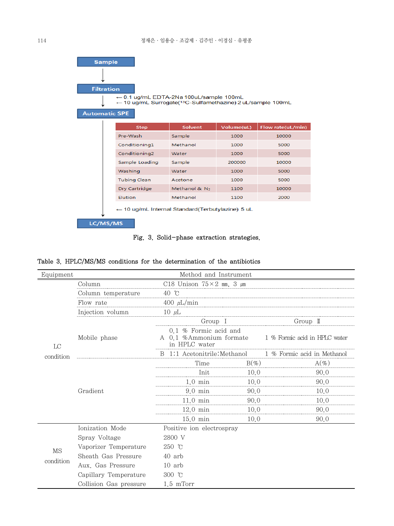| <b>Automatic SPE</b> | <b>Sample</b><br><b>Filtration</b> | $\leftarrow$ 0.1 ug/mL EDTA-2Na 100uL/sample 100mL<br>← 10 ug/mL Surrogate( <sup>13</sup> C-Sulfamethazine) 2 uL/sample 100mL |                           |            |                   |
|----------------------|------------------------------------|-------------------------------------------------------------------------------------------------------------------------------|---------------------------|------------|-------------------|
|                      |                                    | <b>Step</b>                                                                                                                   | <b>Solvent</b>            | Volume(uL) | Flow rate(uL/min) |
|                      |                                    | Pre-Wash                                                                                                                      | Sample                    | 1000       | 10000             |
|                      |                                    | Conditioning1                                                                                                                 | Methanol                  | 1000       | 5000              |
|                      |                                    | Conditioning2                                                                                                                 | Water                     | 1000       | 5000              |
|                      |                                    | Sample Loading                                                                                                                | Sample                    | 200000     | 10000             |
|                      |                                    | Washing                                                                                                                       | Water                     | 1000       | 5000              |
|                      |                                    | <b>Tubing Clean</b>                                                                                                           | Acetone                   | 1000       | 5000              |
|                      |                                    | Dry Cartridge                                                                                                                 | Methanol & N <sub>2</sub> | 1100       | 10000             |
|                      |                                    | <b>Elution</b>                                                                                                                | Methanol                  | 1100       | 2000              |
| LC/MS/MS             |                                    | $\leftarrow$ 10 ug/mL Internal Standard (Terbutylazine) 5 uL                                                                  |                           |            |                   |



|  |  | Table 3. HPLC/MS/MS conditions for the determination of the antibiotics |  |  |  |  |  |  |  |
|--|--|-------------------------------------------------------------------------|--|--|--|--|--|--|--|
|--|--|-------------------------------------------------------------------------|--|--|--|--|--|--|--|

| Equipment |                        | Method and Instrument                  |                                                                                   |                             |  |  |  |
|-----------|------------------------|----------------------------------------|-----------------------------------------------------------------------------------|-----------------------------|--|--|--|
|           | Column                 | C18 Unison $75 \times 2$ mm, 3 $\mu$ m |                                                                                   |                             |  |  |  |
|           | Column temperature     | 40 °C                                  |                                                                                   |                             |  |  |  |
|           | Flow rate              | 400 $\mu$ L/min                        |                                                                                   |                             |  |  |  |
|           | Injection volumn       | 10 $\mu$ L                             |                                                                                   |                             |  |  |  |
|           |                        | Group I                                |                                                                                   | Group II                    |  |  |  |
| LC        | Mobile phase           | in HPLC water                          | 0.1 % Formic acid and<br>1 % Formic acid in HPLC water<br>A 0.1 %Ammonium formate |                             |  |  |  |
| condition |                        | 1:1 Acetonitrile: Methanol<br>B        |                                                                                   | 1 % Formic acid in Methanol |  |  |  |
|           |                        | Time                                   | $B(\%)$                                                                           | $A(\%)$                     |  |  |  |
|           |                        | Init                                   | 10.0                                                                              | 90.0                        |  |  |  |
|           |                        | $1.0 \text{ min}$                      | 10,0                                                                              | 90.0                        |  |  |  |
|           | Gradient               | $9.0 \text{ min}$                      | 90.0                                                                              | 10.0                        |  |  |  |
|           |                        | $11.0 \text{ min}$                     | 90.0                                                                              | 10.0                        |  |  |  |
|           |                        | $12.0 \text{ min}$                     | 10.0                                                                              | 90.0                        |  |  |  |
|           |                        | $15.0 \text{ min}$                     | 10.0                                                                              | 90.0                        |  |  |  |
|           | Ionization Mode        | Positive ion electrospray              |                                                                                   |                             |  |  |  |
|           | Spray Voltage          | 2800 V                                 |                                                                                   |                             |  |  |  |
| MS        | Vaporizer Temperature  | $250$ °C                               |                                                                                   |                             |  |  |  |
|           | Sheath Gas Pressure    | 40 arb                                 |                                                                                   |                             |  |  |  |
| condition | Aux. Gas Pressure      | $10$ arb                               |                                                                                   |                             |  |  |  |
|           | Capillary Temperature  | 300 $\degree$ C                        |                                                                                   |                             |  |  |  |
|           | Collision Gas pressure | $1.5$ mTorr                            |                                                                                   |                             |  |  |  |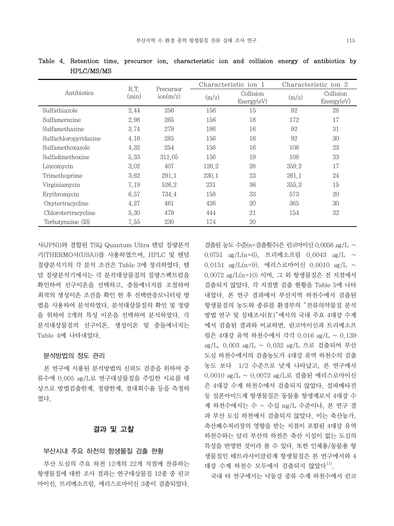|                       |               |                                |       | Characteristic ion 1    |       | Characteristic ion 2    |
|-----------------------|---------------|--------------------------------|-------|-------------------------|-------|-------------------------|
| Antibiotics           | R.T.<br>(min) | Precursor<br>$\text{ion}(m/z)$ | (m/z) | Collision<br>Energy(eV) | (m/z) | Collision<br>Energy(eV) |
| Sulfathiazole         | 2.44          | 256                            | 156   | 15                      | 92    | 28                      |
| Sulfamerazine         | 2.98          | 265                            | 156   | 18                      | 172   | 17                      |
| Sulfamethazine        | 3.74          | 279                            | 186   | 16                      | 92    | 31                      |
| Sulfachloropyridazine | 4.16          | 285                            | 156   | 16                      | 92    | 30                      |
| Sulfamethoxazole      | 4.32          | 254                            | 156   | 16                      | 108   | 23                      |
| Sulfadimethoxine      | 5.33          | 311.05                         | 156   | 19                      | 108   | 33                      |
| Lincomycin            | 3.02          | 407                            | 126.2 | 28                      | 359.2 | 17                      |
| Trimethoprime         | 3.62          | 291.1                          | 230.1 | 23                      | 261.1 | 24                      |
| Virginiamycin         | 7.19          | 526.2                          | 231   | 36                      | 355.3 | 15                      |
| Erythromycin          | 6.57          | 734.4                          | 158   | 33                      | 573   | 20                      |
| Oxytertracycline      | 4.27          | 461                            | 426   | 20                      | 365   | 30                      |
| Chlorotertracycline   | 5.30          | 479                            | 444   | 21                      | 154   | 32                      |
| Terbutyrazine (IS)    | 7.55          | 230                            | 174   | 20                      |       |                         |

Table 4. Retention time, precursor ion, characteristic ion and collision energy of antibiotics by HPLC/MS/MS

사(JPN))와 결합된 TSQ Quantum Ultra 텐덤 질량분석 기(THERMO사(USA))를 사용하였으며, HPLC 및 텐덤 질량분석기의 각 분석 조건은 Table 3에 정리하였다. 텐 덤 질량분석기에서는 각 분석대상물질의 질량스펙트럼을 확인하여 선구이온을 선택하고, 충돌에너지를 조절하여 최적의 생성이온 조건을 확인 한 후 선택반응모니터링 방 법을 사용하여 분석하였다. 분석대상물질의 확인 및 정량 을 위하여 2개의 특성 이온을 선택하여 분석하였다. 각 분석대상물질의 선구이온, 생성이온 및 충돌에너지는 Table 4에 나타내었다.

#### 분석방법의 정도 관리

 본 연구에 시용된 분석방법의 신뢰도 검증을 위하여 증 류수에 0.005 ㎍/L로 연구대상물질을 주입한 시료를 대 상으로 방법검출한계, 정량한계, 절대회수율 등을 측정하 였다.

## 결과 및 고찰

## 부산시내 주요 하천의 항생물질 검출 현황

 부산 도심의 주요 하천 12개의 22개 지점에 잔류하는 항생물질에 대한 조사 결과는 연구대상물질 12종 중 린코 마이신, 트리메소프림, 에리스로마이신 3종이 검출되었다.

검출된 농도 수준(n=검출횟수)은 린코마이신 0.0058 ㎍/L ~ 0.0751  $\mu$ g/L(n=6), 트리메소프림 0.0043  $\mu$ g/L ~ 0.0151  $\mu$ g/L(n=9), 에리스로마이신 0.0010  $\mu$ g/L ~ 0.0072 ㎍/L(n=10) 이며, 그 외 항생물질은 전 지점에서 검출되지 않았다. 각 지점별 검출 현황을 Table 5에 나타 내었다. 본 연구 결과에서 부산지역 하천수에서 검출된 항생물질의 농도와 종류를 환경부의 "잔류의약물질 분석 방법 연구 및 실태조사(Ⅳ)"에서의 국내 주요 4대강 수계 에서 검출된 결과와 비교하면, 린코마이신과 트리메소프 림은 4대강 유역 하천수에서 각각 0.016 ㎍/L ~ 0.139 μg/L, 0.003 μg/L ~ 0.032 μg/L 으로 검출되어 부산 도심 하천수에서의 검출농도가 4대강 유역 하천수의 검출 농도 보다 1/2 수준으로 낮게 나타났고, 본 연구에서 0.0010 ㎍/L ~ 0.0072 ㎍/L로 검출된 에리스로마이신 은 4대강 수계 하천수에서 검출되지 않았다. 설파메타진 등 설폰아미드계 항생물질은 동물용 항생제로서 4대강 수 계 하천수에서는 수 ~ 수십 ng/L 수준이나, 본 연구 결 과 부산 도심 하천에서 검출되지 않았다. 이는 축산농가, 축산폐수처리장의 영향을 받는 지점이 포함된 4대강 유역 하천수와는 달리 부산의 하천은 축산 시설이 없는 도심의 특성을 반영한 것이라 볼 수 있다. 또한 인체용/동물용 항 생물질인 테트라사이클린계 항생물질은 본 연구에서와 4 대강 수계 하천수 모두에서 검출되지 않았다<sup>11)</sup>.

국내 타 연구에서는 낙동강 중류 수계 하천수에서 린코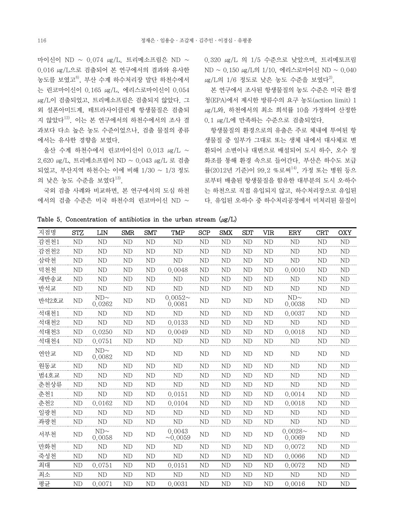마이신이 ND ~ 0.074  $\mu$ g/L, 트리메소프림은 ND ~ 0.016 ㎍/L으로 검출되어 본 연구에서의 결과와 유사한 농도를 보였고<sup>8)</sup>, 부산 수계 하수처리장 말단 하천수에서 는 린코마이신이 0.165 ㎍/L, 에리스로마이신이 0.054 ㎍/L이 검출되었고, 트리메소프림은 검출되지 않았다. 그 외 설폰아미드계, 테트라사이클린계 항생물질은 검출되 지 않았다12). 이는 본 연구에서의 하천수에서의 조사 결 과보다 다소 높은 농도 수준이었으나, 검출 물질의 종류 에서는 유사한 경향을 보였다.

 울산 수계 하천수에서 린코마이신이 0.013 ㎍/L ~ 2.620 ㎍/L, 트리메소프림이 ND ~ 0.043 ㎍/L 로 검출 되었고, 부산지역 하천수는 이에 비해 1/30 ~ 1/3 정도 의 낮은 농도 수준을 보였다<sup>13)</sup>.

 국외 검출 사례와 비교하면, 본 연구에서의 도심 하천  $M$ 서의 검출 수준은 미국 하천수의 린코마이신 ND  $\sim$  0.320 ㎍/L 의 1/5 수준으로 낮았으며, 트리메토프림 ND ~ 0.150 ㎍/L의 1/10, 에리스로마이신 ND ~ 0.040  $\mu$ g/L의 1/6 정도로 낮은 농도 수준을 보였다<sup>2)</sup>.

 본 연구에서 조사된 항생물질의 농도 수준은 미국 환경 청(EPA)에서 제시한 방류수의 요구 농도(action limit) 1 ㎍/L와, 하천에서의 최소 희석률 10을 가정하여 산정한 0.1 ㎍/L에 만족하는 수준으로 검출되었다.

 항생물질의 환경으로의 유출은 주로 체내에 투여된 항 생물질 중 일부가 그대로 또는 생체 내에서 대사체로 변 환되어 소변이나 대변으로 배설되어 도시 하수, 오수 정 화조를 통해 환경 속으로 들어간다. 부산은 하수도 보급 률(2012년 기준)이 99.2 %로써<sup>14)</sup>, 가정 또는 병원 등으 로부터 배출된 항생물질을 함유한 대부분의 도시 오․하수 는 하천으로 직접 유입되지 않고, 하수처리장으로 유입된 다. 유입된 오․하수 중 하수처리공정에서 미처리된 물질이

Table 5. Concentration of antibiotics in the urban stream  $(\mu g/L)$ 

| 지점명   | <b>STZ</b>     | LIN                 | <b>SMR</b>     | <b>SMT</b>     | <b>TMP</b>              | <b>SCP</b>     | <b>SMX</b>     | <b>SDT</b>     | VIR            | ERY                  | <b>CRT</b>     | <b>OXY</b>     |
|-------|----------------|---------------------|----------------|----------------|-------------------------|----------------|----------------|----------------|----------------|----------------------|----------------|----------------|
| 감전천1  | ND             | ND                  | <b>ND</b>      | ND             | ND                      | ND             | ND             | ND             | <b>ND</b>      | <b>ND</b>            | ND             | <b>ND</b>      |
| 감전천2  | ND             | ND                  | <b>ND</b>      | ND             | ND                      | ND             | ND             | ND             | ND             | <b>ND</b>            | ND             | ND             |
| 삼락천   | ND             | <b>ND</b>           | <b>ND</b>      | ND             | ND                      | <b>ND</b>      | <b>ND</b>      | <b>ND</b>      | ND             | <b>ND</b>            | <b>ND</b>      | ND             |
| 덕천천   | ND             | ND                  | <b>ND</b>      | ND             | 0.0048                  | <b>ND</b>      | ND             | <b>ND</b>      | ND             | 0.0010               | ND             | ND             |
| 새반송교  | ND             | N <sub>D</sub>      | N <sub>D</sub> | N <sub>D</sub> | ND                      | N <sub>D</sub> | ND             | N <sub>D</sub> | N <sub>D</sub> | <b>ND</b>            | ND             | N <sub>D</sub> |
| 반석교   | <b>ND</b>      | ND                  | <b>ND</b>      | <b>ND</b>      | ND                      | <b>ND</b>      | <b>ND</b>      | <b>ND</b>      | ND             | <b>ND</b>            | <b>ND</b>      | N <sub>D</sub> |
| 반석2호교 | N <sub>D</sub> | $ND\sim$<br>0.0262  | N <sub>D</sub> | N <sub>D</sub> | $0.0052\sim$<br>0.0081  | N <sub>D</sub> | N <sub>D</sub> | <b>ND</b>      | N <sub>D</sub> | $ND\sim$<br>0.0038   | N <sub>D</sub> | N <sub>D</sub> |
| 석대천1  | ND             | ND                  | ND             | ND             | <b>ND</b>               | ND             | ND             | <b>ND</b>      | ND             | 0.0037               | ND             | <b>ND</b>      |
| 석대천2  | <b>ND</b>      | <b>ND</b>           | ND             | <b>ND</b>      | 0.0133                  | ND             | ND             | <b>ND</b>      | ND             | <b>ND</b>            | ND             | ND             |
| 석대천3  | ND             | 0.0250              | ND             | ND             | 0.0049                  | ND             | ND             | ND             | ND             | 0.0018               | ND             | ND             |
| 석대천4  | ND             | 0.0751              | N <sub>D</sub> | N <sub>D</sub> | ND                      | N <sub>D</sub> | ND             | N <sub>D</sub> | N <sub>D</sub> | ND                   | ND             | N <sub>D</sub> |
| 연안교   | N <sub>D</sub> | $ND \sim$<br>0.0082 | N <sub>D</sub> | N <sub>D</sub> | N <sub>D</sub>          | ND             | N <sub>D</sub> | ND             | N <sub>D</sub> | ND                   | N <sub>D</sub> | N <sub>D</sub> |
| 원동교   | $\mbox{ND}$    | ND                  | <b>ND</b>      | ND             | <b>ND</b>               | ND             | ND             | <b>ND</b>      | ND             | <b>ND</b>            | ND             | <b>ND</b>      |
| 범4호교  | <b>ND</b>      | N <sub>D</sub>      | <b>ND</b>      | ND             | ND                      | <b>ND</b>      | <b>ND</b>      | <b>ND</b>      | ND             | <b>ND</b>            | <b>ND</b>      | <b>ND</b>      |
| 춘천상류  | ND             | ND                  | ND             | ND             | ND                      | ND             | <b>ND</b>      | ND             | ND             | <b>ND</b>            | ND             | ND             |
| 춘천1   | ND             | ND                  | ND             | ND             | 0.0151                  | ND             | ND             | ND             | N <sub>D</sub> | 0.0014               | ND             | N <sub>D</sub> |
| 춘천2   | ND             | 0.0162              | <b>ND</b>      | ND             | 0.0104                  | ND             | <b>ND</b>      | <b>ND</b>      | ND             | 0.0018               | ND             | ND             |
| 일광천   | ND             | ND                  | ND             | ND             | ND                      | ND             | ND             | ND             | ND             | <b>ND</b>            | ND             | ND             |
| 좌광천   | ND             | ND                  | <b>ND</b>      | ND             | ND                      | <b>ND</b>      | ND             | ND             | <b>ND</b>      | ND                   | ND             | ND             |
| 서부천   | N <sub>D</sub> | $ND\sim$<br>0.0058  | N <sub>D</sub> | N <sub>D</sub> | 0.0043<br>$\sim 0.0059$ | N <sub>D</sub> | N <sub>D</sub> | N <sub>D</sub> | N <sub>D</sub> | $0.0028 -$<br>0.0069 | N <sub>D</sub> | N <sub>D</sub> |
| 만화천   | ND             | ND                  | <b>ND</b>      | ND             | ND                      | <b>ND</b>      | <b>ND</b>      | <b>ND</b>      | ND             | 0.0072               | ND             | <b>ND</b>      |
| 죽성천   | ND             | ND                  | <b>ND</b>      | ND             | ND                      | ND             | ND             | <b>ND</b>      | ND             | 0.0066               | ND             | ND             |
| 최대    | <b>ND</b>      | 0.0751              | <b>ND</b>      | ND             | 0.0151                  | ND             | ND             | <b>ND</b>      | <b>ND</b>      | 0.0072               | <b>ND</b>      | <b>ND</b>      |
| 최소    | ND             | ND                  | <b>ND</b>      | ND             | ND                      | N <sub>D</sub> | <b>ND</b>      | <b>ND</b>      | <b>ND</b>      | N <sub>D</sub>       | <b>ND</b>      | N <sub>D</sub> |
| 평균    | ND             | 0.0071              | <b>ND</b>      | <b>ND</b>      | 0.0031                  | <b>ND</b>      | <b>ND</b>      | ND             | <b>ND</b>      | 0.0016               | ND             | <b>ND</b>      |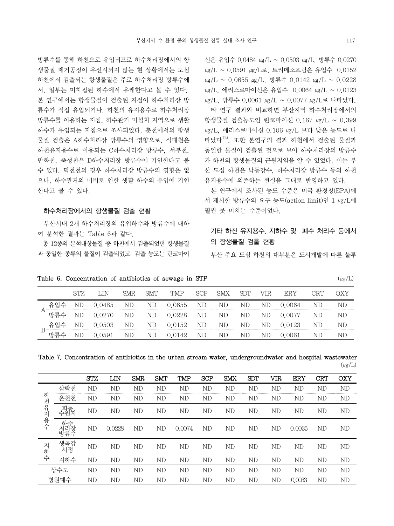방류수를 통해 하천으로 유입되므로 하수처리장에서의 항 생물질 제거공정이 우선시되지 않는 현 상황에서는 도심 하천에서 검출되는 항생물질은 주로 하수처리장 방류수에 서, 일부는 미차집된 하수에서 유래한다고 볼 수 있다. 본 연구에서는 항생물질이 검출된 지점이 하수처리장 방 류수가 직접 유입되거나, 하천의 유지용수로 하수처리장 방류수를 이용하는 지점, 하수관거 미설치 지역으로 생활 하수가 유입되는 지점으로 조사되었다. 춘천에서의 항생 물질 검출은 A하수처리장 방류수의 영향으로, 석대천은 하천유지용수로 이용되는 C하수처리장 방류수, 서부천, 만화천, 죽성천은 D하수처리장 방류수에 기인한다고 볼 수 있다. 덕천천의 경우 하수처리장 방류수의 영향은 없 으나, 하수관거의 미비로 인한 생활 하수의 유입에 기인 한다고 볼 수 있다.

### 하수처리장에서의 항생물질 검출 현황

 부산시내 2개 하수처리장의 유입하수와 방류수에 대하 여 분석한 결과는 Table 6과 같다.

 총 12종의 분석대상물질 증 하천에서 검출되었던 항생물질 과 동일한 종류의 물질이 검출되었고, 검출 농도는 린코마이 신은 유입수 0.0484 ㎍/L ~ 0.0503 ㎍/L, 방류수 0.0270 μg/L ~ 0.0591 μg/L로, 트리메소프림은 유입수 0.0152  $\mu$ g/L ~ 0.0655  $\mu$ g/L, 방류수 0.0142  $\mu$ g/L ~ 0.0228 μg/L, 에리스로마이신은 유입수 0.0064 μg/L ~ 0.0123 μg/L, 방류수 0.0061 μg/L ~ 0.0077 μg/L로 나타났다.

 타 연구 결과와 비교하면 부산지역 하수처리장에서의 항생물질 검출농도인 린코마이신 0.167 ㎍/L ~ 0.399 μg/L, 에리스로마이신 0.106 μg/L 보다 낮은 농도로 나 타났다12). 또한 본연구의 결과 하천에서 검출된 물질과 동일한 물질이 검출된 것으로 보아 하수처리장의 방류수 가 하천의 항생물질의 근원지임을 알 수 있었다. 이는 부 산 도심 하천은 낙동강수, 하수처리장 방류수 등의 하천 유지용수에 의존하는 현실을 그대로 반영하고 있다.

 본 연구에서 조사된 농도 수준은 미국 환경청(EPA)에 서 제시한 방류수의 요구 농도(action limit)인 1 ㎍/L에 훨씬 못 미치는 수준이었다.

기타 하천 유지용수, 지하수 및 폐수 처리수 등에서 의 항생물질 검출 현황

부산 주요 도심 하천의 대부분은 도시개발에 따른 불투

|                 |     | ' JN   | SMR. | SMT | TMP    | <b>SCP</b> | <b>SMX</b> | <b>SDT</b> | VIR. | ERY      | CRT |    |
|-----------------|-----|--------|------|-----|--------|------------|------------|------------|------|----------|-----|----|
| -유인             |     | 0.0485 | ΝD   | ΝD  | 0.0655 | ND         | ND         | ND         | ND.  | 0.0064   | ND  | ND |
| ` 방류수           | ND  | 0.0270 | ND   | ND  | 0.0228 | ND         | ΝD         | ND         | ΝD   | (0.0077) | ND  | ND |
| 유입수<br><b>D</b> | ND  | 0.0503 | ND   | ND  | 0.0152 | ND         | ND         | ND         | ND   | 0.0123   | ND  | ND |
| 방류수             | NE. | 9591   | ΝD   | ND  | 0142   | ND         | ND         | ND         | ND   | .0061    | ΝI  |    |

| Table 6. Concentration of antibiotics of sewage in STP<br>$(\mu g/L)$ |  |  |  |
|-----------------------------------------------------------------------|--|--|--|
|-----------------------------------------------------------------------|--|--|--|

|  |  |  |  | Table 7. Concentration of antibiotics in the urban stream water, undergroundwater and hospital wastewater |  |             |
|--|--|--|--|-----------------------------------------------------------------------------------------------------------|--|-------------|
|  |  |  |  |                                                                                                           |  | $(\mu g/L)$ |

|        |                 | <b>STZ</b> | LIN    | <b>SMR</b> | <b>SMT</b> | TMP    | <b>SCP</b> | <b>SMX</b> | <b>SDT</b> | VIR | ERY    | <b>CRT</b> | OXY |
|--------|-----------------|------------|--------|------------|------------|--------|------------|------------|------------|-----|--------|------------|-----|
|        | 삼락천             | ΝD         | ΝD     | ND         | ND         | ΝD     | ΝD         | ND         | ΝD         | ND  | ΝD     | ΝD         | ND  |
| ᄒ      | 온천천             | ΝD         | ΝD     | ND         | ΝD         | ΝD     | ΝD         | ΝD         | ΝD         | ND  | ND     | ND         | ND  |
| 천유지    | 회동<br>수원        | ΝD         | ΝD     | ND         | ND         | ND     | ND         | ND         | ND         | ND  | ND     | ND         | ND  |
| 용<br>수 | 히<br>쳐빌장<br>방류수 | ΝD         | 0.0228 | ND         | ND         | 0.0074 | ND         | ΝD         | ΝD         | ND  | 0.0035 | ND         | ND  |
| ス<br>히 | 생곡감<br>정        | ΝD         | ΝD     | ND         | ND         | ND     | ND         | ΝD         | ND         | ND  | ND     | ND         | ND  |
| 수      | 지하수             | ΝD         | ΝD     | ND         | ΝD         | ΝD     | ND         | ND         | ND         | ND  | ND     | ND         | ND  |
|        | 상수도             | ΝD         | ΝD     | ND         | ND         | ND     | ND         | ΝD         | ND         | ND  | ND     | ND         | ND  |
|        | 병원폐수            | ΝD         | ΝD     | ND         | ΝD         | ND     | ND         | ΝD         | ND         | ND  | 0.0033 | ND         | ND  |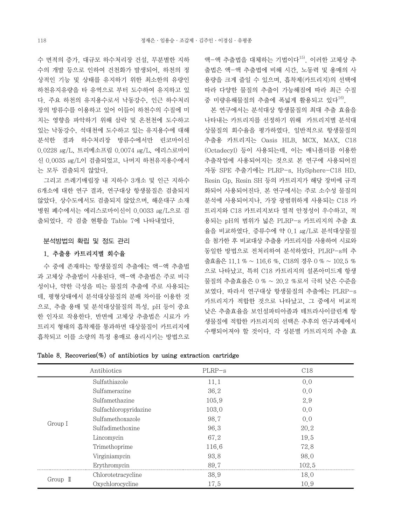수 면적의 증가, 대규모 하수처리장 건설, 무분별한 지하 수의 개발 등으로 인하여 건천화가 발생되어, 하천의 정 상적인 기능 및 상태를 유지하기 위한 최소한의 유량인 하천유지유량을 타 유역으로 부터 도수하여 유지하고 있 다. 주요 하천의 유지용수로서 낙동강수, 인근 하수처리 장의 방류수를 이용하고 있어 이들이 하천수의 수질에 미 치는 영향을 파악하기 위해 삼락 및 온천천에 도수하고 있는 낙동강수, 석대천에 도수하고 있는 유지용수에 대해 분석한 결과 하수처리장 방류수에서만 린코마이신 0.0228 ㎍/L, 트리메소프림 0.0074 ㎍/L, 에리스로마이 신 0.0035 ㎍/L이 검출되었고, 나머지 하천유지용수에서 는 모두 검출되지 않았다.

 그리고 쓰레기매립장 내 지하수 3개소 및 인근 지하수 6개소에 대한 연구 결과, 연구대상 항생물질은 검출되지 않았다. 상수도에서도 검출되지 않았으며, 해운대구 소재 병원 폐수에서는 에리스로마이신이 0.0033 ㎍/L으로 검 출되었다. 각 검출 현황을 Table 7에 나타내었다.

### 분석방법의 확립 및 정도 관리

## 1. 추출용 카트리지별 회수율

 수 중에 존재하는 항생물질의 추출에는 액-액 추출법 과 고체상 추출법이 사용된다. 액-액 추출법은 주로 비극 성이나, 약한 극성을 띠는 물질의 추출에 주로 사용되는 데, 평형상태에서 분석대상물질의 분배 차이를 이용한 것 으로, 추출 용매 및 분석대상물질의 특성, pH 등이 중요 한 인자로 작용한다. 반면에 고체상 추출법은 시료가 카 트리지 형태의 흡착제를 통과하면 대상물질이 카트리지에 흡착되고 이를 소량의 특정 용매로 용리시키는 방법으로

액-액 추출법을 대체하는 기법이다15). 이러한 고체상 추 출법은 액-액 추출법에 비해 시간, 노동력 및 용매의 사 용량을 크게 줄일 수 있으며, 흡착제(카트리지)의 선택에 따라 다양한 물질의 추출이 가능해짐에 따라 최근 수질 중 미량유해물질의 추출에 폭넓게 활용되고 있다<sup>16)</sup>.

 본 연구에서는 분석대상 항생물질의 최대 추출 효율을 나타내는 카트리지를 선정하기 위해 카트리지별 분석대 상물질의 회수율을 평가하였다. 일반적으로 항생물질의 추출용 카트리지는 Oasis HLB, MCX, MAX, C18 (Octadecyl) 등이 사용되는데, 이는 매니폴더를 이용한 추출작업에 사용되어지는 것으로 본 연구에 사용되어진 자동 SPE 추출기에는 PLRP-s, HySphere-C18 HD, Resin Gp, Resin SH 등의 카트리지가 해당 장비에 규격 화되어 사용되어진다. 본 연구에서는 주로 소수성 물질의 분석에 사용되어지나, 가장 광범위하게 사용되는 C18 카 트리지와 C18 카트리지보다 열적 안정성이 우수하고, 적 용되는 pH의 범위가 넓은 PLRP-s 카트리지의 추출 효 율을 비교하였다. 증류수에 약 0.1 ㎍/L로 분석대상물질 을 첨가한 후 비교대상 추출용 카트리지를 사용하여 시료와 동일한 방법으로 전처리하여 분석하였다. PLRP-s의 추 출효율은 11.1 % ~ 116.6 %, C18의 경우 0 % ~ 102.5 % 으로 나타났고, 특히 C18 카트리지의 설폰아미드계 항생 물질의 추출효율은 0 % ~ 20.2 %로서 극히 낮은 수준을 보였다. 따라서 연구대상 항생물질의 추출에는 PLRP-s 카트리지가 적합한 것으로 나타났고, 그 중에서 비교적 낮은 추출효율을 보인설파티아졸과 테트라사이클린계 항 생물질에 적합한 카트리지의 선택은 추후의 연구과제에서 수행되어져야 할 것이다. 각 성분별 카트리지의 추출 효

|  |  |  | Table 8. Recoveries $(\%)$ of antibiotics by using extraction cartridge |  |  |  |  |  |  |  |
|--|--|--|-------------------------------------------------------------------------|--|--|--|--|--|--|--|
|--|--|--|-------------------------------------------------------------------------|--|--|--|--|--|--|--|

|          | Antibiotics           | PLRP-s | C18   |
|----------|-----------------------|--------|-------|
|          | Sulfathiazole         | 11.1   | 0,0   |
|          | Sulfamerazine         | 36.2   | 0,0   |
|          | Sulfamethazine        | 105.9  | 2.9   |
|          | Sulfachloropyridazine | 103.0  | 0,0   |
|          | Sulfamethoxazole      | 98.7   | 0,0   |
| Group I  | Sulfadimethoxine      | 96.3   | 20.2  |
|          | Lincomycin            | 67.2   | 19.5  |
|          | Trimethoprime         | 116.6  | 72.8  |
|          | Virginiamycin         | 93.8   | 98.0  |
|          | Erythromycin          | 89.7   | 102.5 |
|          | Chlorotetracycline    | 38.9   | 18.0  |
| Group II | Oxychlorocycline      | 17.5   | 10.9  |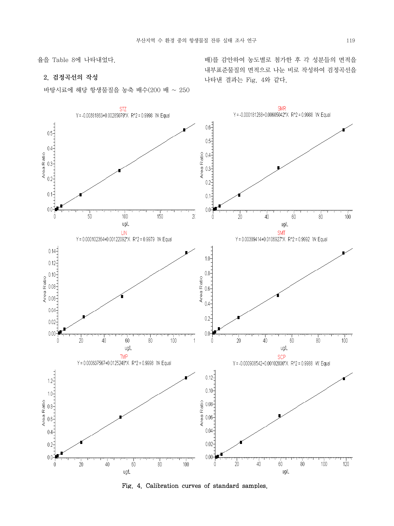율을 Table 8에 나타내었다.

## 2. 검정곡선의 작성

바탕시료에 해당 항생물질을 농축 배수(200 배 ~ 250



Fig. 4. Calibration curves of standard samples.

배)를 감안하여 농도별로 첨가한 후 각 성분들의 면적을 내부표준물질의 면적으로 나눈 비로 작성하여 검정곡선을 나타낸 결과는 Fig. 4와 같다.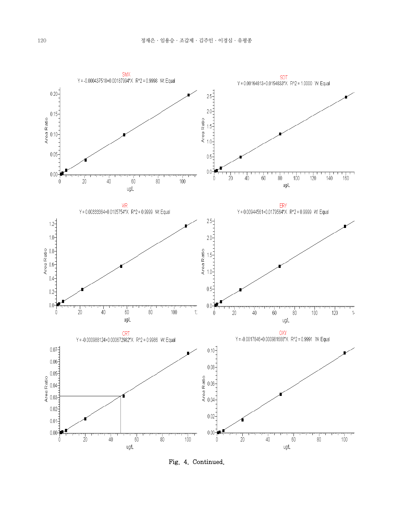

Fig. 4. Continued.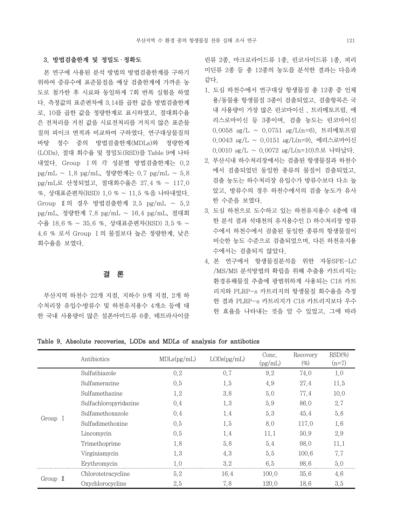### 3. 방법검출한계 및 정밀도 ․ 정확도

 본 연구에 사용된 분석 방법의 방법검출한계를 구하기 위하여 증류수에 표준물질을 예상 검출한계에 가까운 농 도로 첨가한 후 시료와 동일하게 7회 반복 실험을 하였 다. 측정값의 표준편차에 3.14를 곱한 값을 방법검출한계 로, 10를 곱한 값을 정량한계로 표시하였고, 절대회수율 은 전처리를 거친 값을 시료전처리를 거치지 않은 표준물 질의 피이크 면적과 비교하여 구하였다. 연구대상물질의 바탕 정수 중의 방법검출한계(MDLs)와 정량한계 (LODs), 절대 회수율 및 정밀도(RSD)를 Table 9에 나타 내었다. Group Ⅰ의 각 성분별 방법검출한계는 0.2 pg/mL ~ 1.8 pg/mL, 정량한계는 0.7 pg/mL ~ 5.8 pg/mL로 산정되었고, 절대회수율은 27.4 % ~ 117.0 %, 상대표준편차(RSD) 1.0 % ~ 11.5 %을 나타내었다. Group Ⅱ의 경우 방법검출한계 2.5 pg/mL ~ 5.2 pg/mL, 정량한계 7.8 pg/mL ~ 16.4 pg/mL, 절대회 수율 18.6 % ~ 35.6 %, 상대표준편차(RSD) 3.5 % ~ 4.6 % 로서 Group Ⅰ의 물질보다 높은 정량한계, 낮은 회수율을 보였다.

결 론

 부산지역 하천수 22개 지점, 지하수 9개 지점, 2개 하 수처리장 유입수․방류수 및 하천유지용수 4개소 등에 대 한 국내 사용량이 많은 설폰아미드류 6종, 테트라사이클 린류 2종, 마크로라이드류 1종, 린코사미드류 1종, 피리 미딘류 2종 등 총 12종의 농도를 분석한 결과는 다음과 같다.

- 1. 도심 하천수에서 연구대상 항생물질 총 12종 중 인체 용/동물용 항생물질 3종이 검출되었고, 검출항목은 국 내 사용량이 가장 많은 린코마이신 , 트리메토프림, 에 리스로마이신 등 3종이며, 검출 농도는 린코마이신 0.0058 ㎍/L ~ 0.0751 ㎍/L(n=6), 트리메토프림 0.0043 ㎍/L ~ 0.0151 ㎍/L(n=9), 에리스로마이신 0.0010 ㎍/L ~ 0.0072 ㎍/L(n=10)으로 나타났다.
- 2. 부산시내 하수처리장에서는 검출된 항생물질과 하천수 에서 검출되었던 동일한 종류의 물질이 검출되었고, 검출 농도는 하수처리장 유입수가 방류수보다 다소 높 았고, 방류수의 경우 하천수에서의 검출 농도가 유사 한 수준을 보였다.
- 3. 도심 하천으로 도수하고 있는 하천유지용수 4종에 대 한 분석 결과 석대천의 유지용수인 D 하수처리장 방류 수에서 하천수에서 검출된 동일한 종류의 항생물질이 비슷한 농도 수준으로 검출되었으며, 다른 하천유지용 수에서는 검출되지 않았다.
- 4. 본 연구에서 항생물질분석을 위한 자동SPE-LC /MS/MS 분석방법의 확립을 위해 추출용 카트리지는 환경유해물질 추출에 광범위하게 사용되는 C18 카트 리지와 PLRP-s 카트리지의 항생물질 회수율을 측정 한 결과 PLRP-s 카트리지가 C18 카트리지보다 우수 한 효율을 나타내는 것을 알 수 있었고, 그에 따라

#### Table 9. Absolute recoveries, LODs and MDLs of analysis for antibotics

|                   | Antibiotics           | MDLs(pg/mL) | LODs(pg/mL) | Conc.<br>(pg/mL) | Recovery<br>(%) | $RSD(\%)$<br>$(n=7)$ |
|-------------------|-----------------------|-------------|-------------|------------------|-----------------|----------------------|
| Group I           | Sulfathiazole         | 0,2         | 0.7         | 9.2              | 74.0            | 1.0                  |
|                   | Sulfamerazine         | 0.5         | 1.5         | 4.9              | 27.4            | 11.5                 |
|                   | Sulfamethazine        | 1.2         | 3.8         | 5.0              | 77.4            | 10,0                 |
|                   | Sulfachloropyridazine | 0,4         | 1.3         | 5.9              | 86.0            | 2.7                  |
|                   | Sulfamethoxazole      | 0,4         | 1.4         | 5.3              | 45.4            | 5.8                  |
|                   | Sulfadimethoxine      | 0.5         | 1.5         | 8.0              | 117.0           | 1.6                  |
|                   | Lincomycin            | 0.5         | 1.4         | 11,1             | 50.9            | 2.9                  |
|                   | Trimethoprime         | 1.8         | 5.8         | 5.4              | 98.0            | 11.1                 |
|                   | Virginiamycin         | 1.3         | 4.3         | 5.5              | 100.6           | 7.7                  |
|                   | Erythromycin          | 1.0         | 3.2         | 6.5              | 98.6            | 5.0                  |
| Group $\mathbb I$ | Chlorotetracycline    | 5.2         | 16.4        | 100.0            | 35.6            | 4.6                  |
|                   | Oxychlorocycline      | 2.5         | 7.8         | 120.0            | 18.6            | 3.5                  |